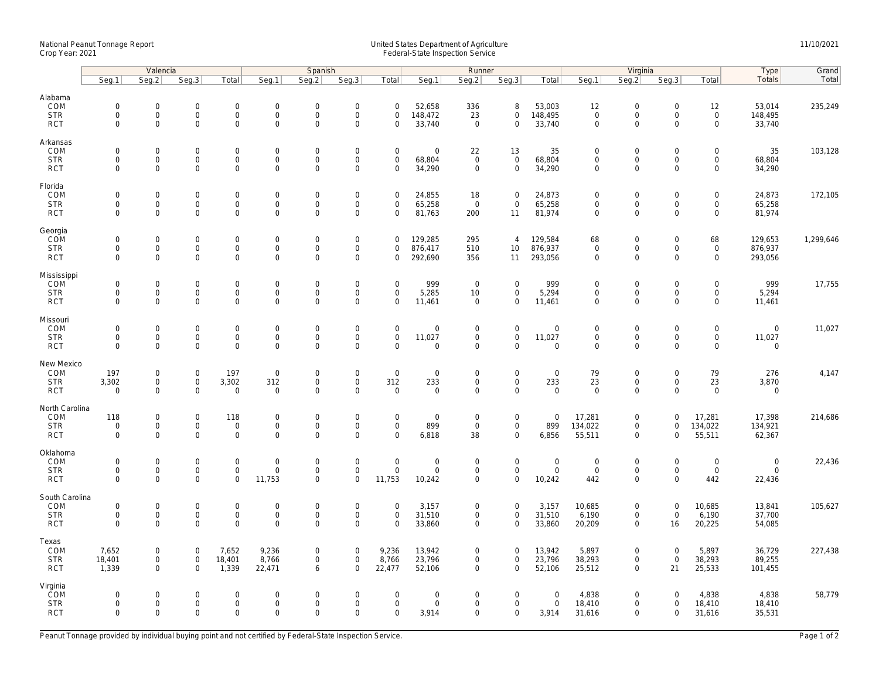## National Peanut Tonnage Report United States Department of Agriculture 11/10/2021<br>Crop Year: 2021 Federal-State Inspection Service

|                                                    | Valencia                                          |                                                   |                                                           |                                          | Spanish                                           |                                                        |                                                           |                                           |                                 | Runner                                                    |                                                   |                                      | Virginia                                   |                                                            |                                           |                                                    | <b>Type</b>                        | Grand     |
|----------------------------------------------------|---------------------------------------------------|---------------------------------------------------|-----------------------------------------------------------|------------------------------------------|---------------------------------------------------|--------------------------------------------------------|-----------------------------------------------------------|-------------------------------------------|---------------------------------|-----------------------------------------------------------|---------------------------------------------------|--------------------------------------|--------------------------------------------|------------------------------------------------------------|-------------------------------------------|----------------------------------------------------|------------------------------------|-----------|
|                                                    | Seg.1                                             | Seq.2                                             | Seg.3                                                     | Total                                    | Seg.1                                             | Seq.2                                                  | Seg.3                                                     | Total                                     | Seg.1                           | Seg.2                                                     | Seg.3                                             | Total                                | Seg.1                                      | Seg.2                                                      | Seg.3                                     | Total                                              | Totals                             | Total     |
| Alabama<br>COM<br><b>STR</b><br><b>RCT</b>         | $\mathsf{O}\xspace$<br>$\mathbf 0$<br>$\mathbf 0$ | $\mathbf 0$<br>$\mathsf{O}\xspace$<br>$\Omega$    | $\mathbf 0$<br>$\mathsf{O}\xspace$<br>$\mathbf 0$         | $\mathbf 0$<br>0<br>$\mathbf{0}$         | $\mathbf 0$<br>$\mathsf 0$<br>$\mathbf 0$         | $\mathbf 0$<br>$\mathsf{O}\xspace$<br>$\mathbf 0$      | $\mathbf 0$<br>$\mathsf{O}\xspace$<br>$\mathbf 0$         | $\mathbf 0$<br>$\mathbf 0$<br>$\Omega$    | 52,658<br>148,472<br>33,740     | 336<br>23<br>$\overline{0}$                               | 8<br>$\mathbf 0$<br>$\Omega$                      | 53,003<br>148,495<br>33,740          | 12<br>$\mathsf{O}\xspace$<br>$\Omega$      | $\mathsf{O}\xspace$<br>$\mathbf 0$<br>$\mathbf 0$          | 0<br>$\mathbf 0$<br>$\Omega$              | 12<br>$\mathsf 0$<br>$\mathbf{0}$                  | 53,014<br>148,495<br>33,740        | 235,249   |
| Arkansas<br>COM<br><b>STR</b><br><b>RCT</b>        | $\mathbf 0$<br>$\mathbf 0$<br>$\mathbf 0$         | 0<br>$\mathsf 0$<br>$\Omega$                      | $\mathbf 0$<br>$\mathsf{O}\xspace$<br>$\mathbf 0$         | $\mathbf{0}$<br>0<br>0                   | $\mathbf 0$<br>$\mathsf 0$<br>$\mathbf 0$         | $\mathbf 0$<br>$\mathsf{O}\xspace$<br>$\mathbf 0$      | $\mathbf 0$<br>$\mathsf{O}\xspace$<br>$\mathbf 0$         | $\mathbf 0$<br>$\mathbf 0$<br>$\mathbf 0$ | $\mathbf 0$<br>68,804<br>34,290 | 22<br>$\mathbf 0$<br>$\overline{0}$                       | 13<br>$\mathsf{O}$<br>$\mathbf 0$                 | 35<br>68,804<br>34,290               | $\mathbf 0$<br>$\mathbf 0$<br>$\Omega$     | $\mathbf 0$<br>$\mathbf 0$<br>$\mathbf 0$                  | $\mathbf 0$<br>0<br>$\Omega$              | $\mathbf 0$<br>$\mathsf{O}\xspace$<br>$\mathbf{0}$ | 35<br>68,804<br>34,290             | 103,128   |
| Florida<br>COM<br><b>STR</b><br><b>RCT</b>         | $\mathsf{O}\xspace$<br>$\mathbf 0$<br>$\mathbf 0$ | 0<br>$\mathsf{O}\xspace$<br>$\mathbf 0$           | $\mathsf{O}\xspace$<br>$\mathbf 0$<br>$\mathbf 0$         | 0<br>0<br>0                              | $\mathbf 0$<br>$\mathbf 0$<br>$\mathbf 0$         | $\mathbf 0$<br>$\mathbf 0$<br>$\mathbf 0$              | $\mathsf{O}\xspace$<br>$\mathsf{O}\xspace$<br>$\mathbf 0$ | $\mathbf 0$<br>0<br>$\mathbf 0$           | 24,855<br>65,258<br>81,763      | 18<br>$\mathbf 0$<br>200                                  | $\mathbf 0$<br>$\mathbf 0$<br>11                  | 24,873<br>65,258<br>81,974           | $\mathbf 0$<br>$\mathbf{0}$<br>$\mathbf 0$ | $\mathsf{O}\xspace$<br>$\mathbf 0$<br>$\mathbf 0$          | 0<br>$\mathbf 0$<br>$\mathbf 0$           | $\overline{0}$<br>$\mathbf 0$<br>$\mathbf 0$       | 24,873<br>65,258<br>81,974         | 172,105   |
| Georgia<br>COM<br><b>STR</b><br><b>RCT</b>         | $\mathsf{O}\xspace$<br>$\mathbf 0$<br>$\mathbf 0$ | $\mathbf 0$<br>$\mathsf{O}\xspace$<br>$\mathbf 0$ | $\mathbf 0$<br>$\mathbf 0$<br>$\mathbf 0$                 | 0<br>$\overline{0}$<br>$\mathbf{0}$      | $\mathbf 0$<br>$\mathsf{O}\xspace$<br>$\mathbf 0$ | $\mathbf 0$<br>$\mathsf 0$<br>$\mathbf 0$              | $\mathsf{O}\xspace$<br>$\mathsf 0$<br>$\mathbf 0$         | $\mathbf 0$<br>$\mathbf 0$<br>$\mathbf 0$ | 129,285<br>876,417<br>292,690   | 295<br>510<br>356                                         | $\overline{4}$<br>10<br>11                        | 129,584<br>876,937<br>293,056        | 68<br>$\mathbf 0$<br>$\mathbf 0$           | $\mathsf{O}\xspace$<br>$\mathbf{0}$<br>$\mathbf 0$         | 0<br>$\mathbf 0$<br>$\mathbf 0$           | 68<br>$\mathsf{O}\xspace$<br>$\mathbf{0}$          | 129,653<br>876,937<br>293,056      | 1,299,646 |
| Mississippi<br>COM<br><b>STR</b><br><b>RCT</b>     | $\mathbf 0$<br>$\mathbf 0$<br>$\mathbf 0$         | $\mathbf 0$<br>$\mathsf{O}\xspace$<br>$\mathbf 0$ | $\mathbf 0$<br>$\mathbf 0$<br>$\mathbf 0$                 | $\mathbf{0}$<br>0<br>0                   | $\mathbf 0$<br>$\mathsf{O}$<br>$\mathbf 0$        | $\mathbf 0$<br>$\mathsf{O}\xspace$<br>$\mathbf 0$      | $\mathbf 0$<br>$\mathsf 0$<br>$\mathbf 0$                 | $\mathbf 0$<br>$\mathbf 0$<br>$\mathbf 0$ | 999<br>5,285<br>11,461          | $\mathbf 0$<br>10 <sup>°</sup><br>$\overline{0}$          | $\mathbf 0$<br>$\mathbf 0$<br>$\mathbf 0$         | 999<br>5,294<br>11,461               | $\mathbf 0$<br>$\mathbf 0$<br>0            | $\mathbf 0$<br>$\mathsf{O}$<br>$\mathbf 0$                 | $\mathbf 0$<br>$\mathbf 0$<br>$\mathbf 0$ | $\mathbf 0$<br>$\mathbf 0$<br>$\mathbf 0$          | 999<br>5,294<br>11,461             | 17,755    |
| Missouri<br>COM<br><b>STR</b><br><b>RCT</b>        | $\mathsf{O}\xspace$<br>$\mathbf 0$<br>$\mathbf 0$ | 0<br>$\mathsf{O}\xspace$<br>$\mathbf 0$           | $\mathsf{O}\xspace$<br>$\mathbf 0$<br>$\mathbf 0$         | 0<br>0<br>0                              | $\mathbf 0$<br>$\mathsf 0$<br>$\mathbf 0$         | $\mathbf 0$<br>$\mathbf 0$<br>$\mathbf 0$              | $\mathsf{O}\xspace$<br>$\mathsf{O}\xspace$<br>$\mathbf 0$ | $\mathbf 0$<br>$\mathbf 0$<br>$\Omega$    | 0<br>11,027<br>$\mathbf 0$      | $\mathbf 0$<br>$\mathsf{O}\xspace$<br>$\mathbf 0$         | $\mathsf 0$<br>$\mathbf 0$<br>$\mathbf 0$         | $\mathbf 0$<br>11,027<br>$\mathbf 0$ | $\mathbf 0$<br>$\Omega$<br>$\Omega$        | $\mathsf{O}\xspace$<br>$\mathbf 0$<br>$\mathbf 0$          | $\mathbf 0$<br>0<br>$\Omega$              | 0<br>$\mathbf 0$<br>$\mathbf 0$                    | 0<br>11,027<br>0                   | 11,027    |
| New Mexico<br>COM<br><b>STR</b><br><b>RCT</b>      | 197<br>3,302<br>$\mathsf{O}\xspace$               | 0<br>$\mathsf{O}\xspace$<br>$\Omega$              | $\mathsf{O}\xspace$<br>$\mathbf 0$<br>$\Omega$            | 197<br>3,302<br>$\mathbf 0$              | $\mathsf 0$<br>312<br>$\mathsf 0$                 | $\boldsymbol{0}$<br>$\mathbf 0$<br>$\mathsf{O}\xspace$ | $\mathsf{O}\xspace$<br>$\mathbf 0$<br>$\Omega$            | $\mathbf 0$<br>312<br>$\Omega$            | 0<br>233<br>0                   | $\mathsf 0$<br>$\mathsf 0$<br>$\mathbf 0$                 | $\mathsf{O}$<br>$\mathbf 0$<br>$\mathbf 0$        | $\mathbf 0$<br>233<br>$\mathbf 0$    | 79<br>23<br>$\Omega$                       | $\mathsf{O}\xspace$<br>$\mathbf{0}$<br>$\mathsf{O}\xspace$ | 0<br>$\mathbf 0$<br>$\Omega$              | 79<br>23<br>$\mathbf 0$                            | 276<br>3,870<br>0                  | 4,147     |
| North Carolina<br>COM<br><b>STR</b><br><b>RCT</b>  | 118<br>$\mathsf{O}\xspace$<br>$\mathbf 0$         | $\mathbf 0$<br>$\mathsf{O}\xspace$<br>$\Omega$    | $\mathbf 0$<br>$\mathbf 0$<br>$\mathbf 0$                 | 118<br>$\mathbf 0$<br>$\mathbf 0$        | $\mathbf 0$<br>$\mathsf{O}$<br>$\mathbf 0$        | $\mathbf 0$<br>$\mathbf 0$<br>$\mathbf 0$              | $\mathsf{O}\xspace$<br>$\mathsf{O}\xspace$<br>$\Omega$    | $\mathbf 0$<br>$\mathbf 0$<br>$\Omega$    | 0<br>899<br>6,818               | $\overline{0}$<br>$\mathsf 0$<br>38                       | $\mathsf{O}$<br>$\mathbf 0$<br>$\mathbf{0}$       | $\mathbf 0$<br>899<br>6,856          | 17,281<br>134,022<br>55,511                | $\mathsf{O}\xspace$<br>$\mathsf{O}$<br>$\mathbf 0$         | 0<br>$\mathbf 0$<br>$\mathbf 0$           | 17,281<br>134,022<br>55,511                        | 17,398<br>134,921<br>62,367        | 214,686   |
| Oklahoma<br>COM<br><b>STR</b><br><b>RCT</b>        | $\mathbf 0$<br>$\mathbf 0$<br>$\Omega$            | $\mathbf 0$<br>$\mathsf{O}\xspace$<br>$\Omega$    | $\mathbf 0$<br>$\mathbf 0$<br>$\mathbf 0$                 | $\mathbf{0}$<br>$\mathsf{O}\xspace$<br>0 | $\mathbf 0$<br>$\mathsf 0$<br>11,753              | $\mathbf 0$<br>$\mathbf 0$<br>$\mathbf 0$              | $\mathbf 0$<br>$\mathsf{O}\xspace$<br>$\Omega$            | $\mathbf 0$<br>$\mathbf 0$<br>11,753      | $\mathbf 0$<br>0<br>10,242      | $\mathbf 0$<br>$\mathsf 0$<br>$\mathbf 0$                 | $\mathbf 0$<br>$\mathsf{O}\xspace$<br>$\mathbf 0$ | $\mathbf 0$<br>$\mathbf 0$<br>10,242 | $\mathbf 0$<br>$\mathbf 0$<br>442          | $\mathbf 0$<br>$\mathsf{O}\xspace$<br>$\mathbf 0$          | $\mathbf 0$<br>$\mathbf 0$<br>$\Omega$    | $\mathbf 0$<br>$\mathbf 0$<br>442                  | $\mathsf{O}\xspace$<br>0<br>22,436 | 22,436    |
| South Carolina<br>COM<br><b>STR</b><br><b>RCT</b>  | $\mathsf{O}\xspace$<br>$\mathbf 0$<br>$\mathbf 0$ | $\mathsf 0$<br>$\mathbf 0$<br>$\mathbf 0$         | $\mathsf{O}\xspace$<br>$\mathsf{O}\xspace$<br>$\mathbf 0$ | $\mathbf 0$<br>$\boldsymbol{0}$<br>0     | $\mathbf 0$<br>$\mathbf 0$<br>$\mathbf 0$         | $\mathbf 0$<br>$\mathsf{O}\xspace$<br>$\mathbf 0$      | $\mathsf{O}\xspace$<br>$\mathsf{O}\xspace$<br>$\mathbf 0$ | $\mathbf 0$<br>$\mathbf 0$<br>$\mathbf 0$ | 3,157<br>31,510<br>33,860       | $\mathsf{O}\xspace$<br>$\overline{0}$<br>$\overline{0}$   | $\mathsf 0$<br>$\mathbf 0$<br>$\mathbf 0$         | 3,157<br>31,510<br>33,860            | 10,685<br>6,190<br>20,209                  | $\mathsf{O}\xspace$<br>$\mathsf{O}$<br>$\mathbf 0$         | $\mathbf 0$<br>$\mathbf 0$<br>16          | 10,685<br>6,190<br>20,225                          | 13,841<br>37,700<br>54,085         | 105,627   |
| Texas<br>COM<br><b>STR</b><br><b>RCT</b>           | 7,652<br>18,401<br>1,339                          | 0<br>$\mathsf{O}\xspace$<br>$\Omega$              | $\mathbf 0$<br>$\mathsf{O}\xspace$<br>$\Omega$            | 7,652<br>18,401<br>1,339                 | 9,236<br>8,766<br>22,471                          | $\mathbf 0$<br>$\mathsf{O}\xspace$<br>6                | $\mathbf 0$<br>$\mathsf 0$<br>$\Omega$                    | 9,236<br>8,766<br>22,477                  | 13,942<br>23,796<br>52,106      | $\mathsf{O}\xspace$<br>$\mathsf{O}\xspace$<br>$\mathbf 0$ | $\mathbf 0$<br>$\mathbf 0$<br>$\overline{0}$      | 13,942<br>23,796<br>52,106           | 5,897<br>38,293<br>25,512                  | $\mathsf{O}\xspace$<br>$\mathsf{O}\xspace$<br>$\mathbf 0$  | $\mathbf 0$<br>$\mathbf 0$<br>21          | 5,897<br>38,293<br>25,533                          | 36,729<br>89,255<br>101,455        | 227,438   |
| Virginia<br><b>COM</b><br><b>STR</b><br><b>RCT</b> | $\mathbf 0$<br>$\mathsf{O}\xspace$<br>$\mathbf 0$ | $\mathbf 0$<br>$\mathsf 0$<br>$\mathbf 0$         | $\mathbf 0$<br>$\mathsf{O}\xspace$<br>$\mathbf 0$         | $\mathbf 0$<br>0<br>0                    | $\Omega$<br>$\mathbf 0$<br>$\mathbf 0$            | $\mathbf 0$<br>$\mathsf{O}\xspace$<br>$\mathbf 0$      | $\mathbf 0$<br>$\mathsf{O}\xspace$<br>$\mathbf 0$         | $\mathbf 0$<br>$\mathbf 0$<br>$\mathbf 0$ | $\mathbf 0$<br>0<br>3,914       | $\overline{0}$<br>$\mathbf 0$<br>$\mathbf 0$              | $\mathbf{0}$<br>$\mathbf 0$<br>$\mathbf 0$        | $\mathbf 0$<br>$\mathbf 0$<br>3,914  | 4,838<br>18,410<br>31,616                  | $\mathbf 0$<br>$\mathbf 0$<br>$\mathbf 0$                  | $\Omega$<br>0<br>$\mathbf 0$              | 4,838<br>18,410<br>31,616                          | 4,838<br>18,410<br>35,531          | 58,779    |

Peanut Tonnage provided by individual buying point and not certified by Federal-State Inspection Service. Page 1 of 2